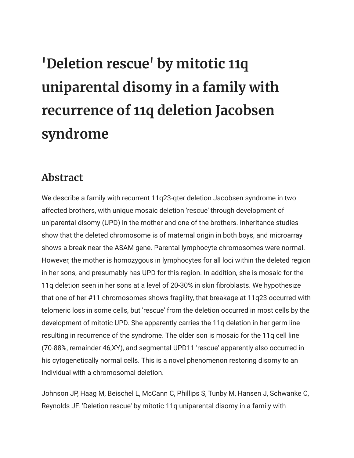## **'Deletion rescue' by mitotic 11q uniparental disomy in a family with recurrence of 11q deletion Jacobsen syndrome**

## **Abstract**

We describe a family with recurrent 11q23-qter deletion Jacobsen syndrome in two affected brothers, with unique mosaic deletion 'rescue' through development of uniparental disomy (UPD) in the mother and one of the brothers. Inheritance studies show that the deleted chromosome is of maternal origin in both boys, and microarray shows a break near the ASAM gene. Parental lymphocyte chromosomes were normal. However, the mother is homozygous in lymphocytes for all loci within the deleted region in her sons, and presumably has UPD for this region. In addition, she is mosaic for the 11q deletion seen in her sons at a level of 20-30% in skin fibroblasts. We hypothesize that one of her #11 chromosomes shows fragility, that breakage at 11q23 occurred with telomeric loss in some cells, but 'rescue' from the deletion occurred in most cells by the development of mitotic UPD. She apparently carries the 11q deletion in her germ line resulting in recurrence of the syndrome. The older son is mosaic for the 11q cell line (70-88%, remainder 46,XY), and segmental UPD11 'rescue' apparently also occurred in his cytogenetically normal cells. This is a novel phenomenon restoring disomy to an individual with a chromosomal deletion.

Johnson JP, Haag M, Beischel L, McCann C, Phillips S, Tunby M, Hansen J, Schwanke C, Reynolds JF. 'Deletion rescue' by mitotic 11q uniparental disomy in a family with